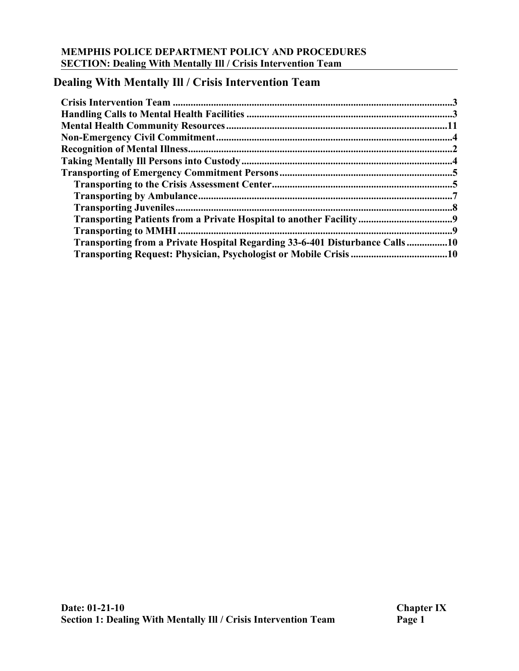# **Dealing With Mentally Ill / Crisis Intervention Team**

| Transporting from a Private Hospital Regarding 33-6-401 Disturbance Calls10 |  |
|-----------------------------------------------------------------------------|--|
|                                                                             |  |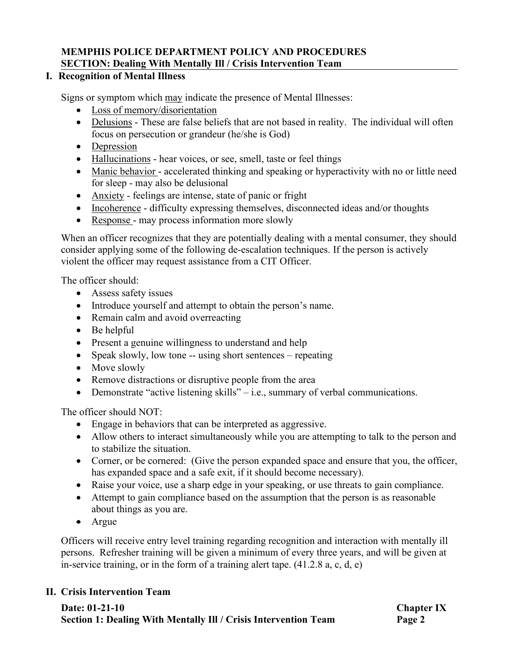# **I. Recognition of Mental Illness**

Signs or symptom which may indicate the presence of Mental Illnesses:

- Loss of memory/disorientation
- Delusions These are false beliefs that are not based in reality. The individual will often focus on persecution or grandeur (he/she is God)
- Depression
- Hallucinations hear voices, or see, smell, taste or feel things
- Manic behavior accelerated thinking and speaking or hyperactivity with no or little need for sleep - may also be delusional
- Anxiety feelings are intense, state of panic or fright
- Incoherence difficulty expressing themselves, disconnected ideas and/or thoughts
- Response may process information more slowly

When an officer recognizes that they are potentially dealing with a mental consumer, they should consider applying some of the following de-escalation techniques. If the person is actively violent the officer may request assistance from a CIT Officer.

The officer should:

- Assess safety issues
- Introduce yourself and attempt to obtain the person's name.
- Remain calm and avoid overreacting
- Be helpful
- Present a genuine willingness to understand and help
- Speak slowly, low tone -- using short sentences repeating
- Move slowly
- Remove distractions or disruptive people from the area
- Demonstrate "active listening skills" i.e., summary of verbal communications.

The officer should NOT:

- Engage in behaviors that can be interpreted as aggressive.
- Allow others to interact simultaneously while you are attempting to talk to the person and to stabilize the situation.
- Corner, or be cornered: (Give the person expanded space and ensure that you, the officer, has expanded space and a safe exit, if it should become necessary).
- Raise your voice, use a sharp edge in your speaking, or use threats to gain compliance.
- Attempt to gain compliance based on the assumption that the person is as reasonable about things as you are.
- Argue

Officers will receive entry level training regarding recognition and interaction with mentally ill persons. Refresher training will be given a minimum of every three years, and will be given at in-service training, or in the form of a training alert tape. (41.2.8 a, c, d, e)

#### **II. Crisis Intervention Team**

#### **Date: 01-21-10 Chapter IX Section 1: Dealing With Mentally Ill / Crisis Intervention Team** Page 2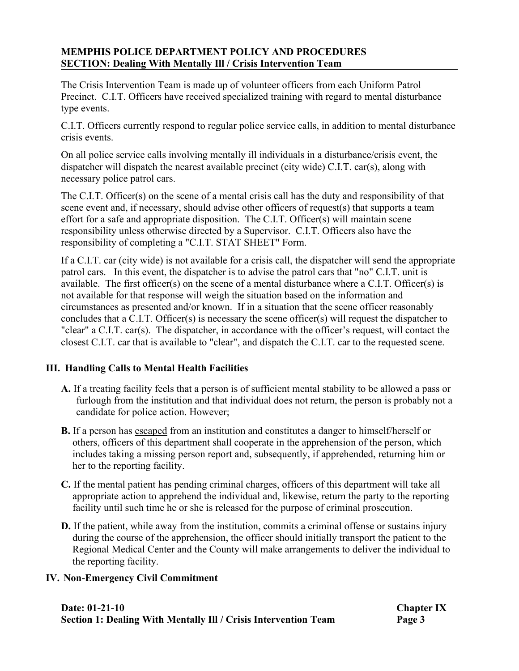The Crisis Intervention Team is made up of volunteer officers from each Uniform Patrol Precinct. C.I.T. Officers have received specialized training with regard to mental disturbance type events.

C.I.T. Officers currently respond to regular police service calls, in addition to mental disturbance crisis events.

On all police service calls involving mentally ill individuals in a disturbance/crisis event, the dispatcher will dispatch the nearest available precinct (city wide) C.I.T. car(s), along with necessary police patrol cars.

The C.I.T. Officer(s) on the scene of a mental crisis call has the duty and responsibility of that scene event and, if necessary, should advise other officers of request(s) that supports a team effort for a safe and appropriate disposition. The C.I.T. Officer(s) will maintain scene responsibility unless otherwise directed by a Supervisor. C.I.T. Officers also have the responsibility of completing a "C.I.T. STAT SHEET" Form.

If a C.I.T. car (city wide) is not available for a crisis call, the dispatcher will send the appropriate patrol cars. In this event, the dispatcher is to advise the patrol cars that "no" C.I.T. unit is available. The first officer(s) on the scene of a mental disturbance where a C.I.T. Officer(s) is not available for that response will weigh the situation based on the information and circumstances as presented and/or known. If in a situation that the scene officer reasonably concludes that a C.I.T. Officer(s) is necessary the scene officer(s) will request the dispatcher to "clear" a C.I.T. car(s). The dispatcher, in accordance with the officer's request, will contact the closest C.I.T. car that is available to "clear", and dispatch the C.I.T. car to the requested scene.

#### **III. Handling Calls to Mental Health Facilities**

- **A.** If a treating facility feels that a person is of sufficient mental stability to be allowed a pass or furlough from the institution and that individual does not return, the person is probably not a candidate for police action. However;
- **B.** If a person has escaped from an institution and constitutes a danger to himself/herself or others, officers of this department shall cooperate in the apprehension of the person, which includes taking a missing person report and, subsequently, if apprehended, returning him or her to the reporting facility.
- **C.** If the mental patient has pending criminal charges, officers of this department will take all appropriate action to apprehend the individual and, likewise, return the party to the reporting facility until such time he or she is released for the purpose of criminal prosecution.
- **D.** If the patient, while away from the institution, commits a criminal offense or sustains injury during the course of the apprehension, the officer should initially transport the patient to the Regional Medical Center and the County will make arrangements to deliver the individual to the reporting facility.

#### **IV. Non-Emergency Civil Commitment**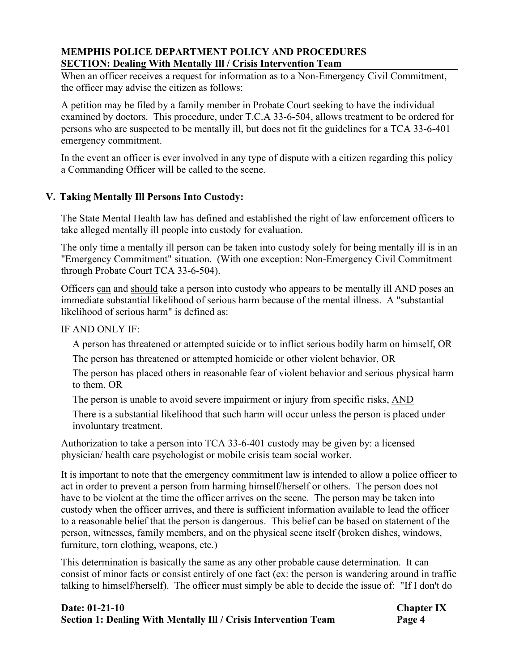When an officer receives a request for information as to a Non-Emergency Civil Commitment, the officer may advise the citizen as follows:

A petition may be filed by a family member in Probate Court seeking to have the individual examined by doctors. This procedure, under T.C.A 33-6-504, allows treatment to be ordered for persons who are suspected to be mentally ill, but does not fit the guidelines for a TCA 33-6-401 emergency commitment.

In the event an officer is ever involved in any type of dispute with a citizen regarding this policy a Commanding Officer will be called to the scene.

# **V. Taking Mentally Ill Persons Into Custody:**

The State Mental Health law has defined and established the right of law enforcement officers to take alleged mentally ill people into custody for evaluation.

The only time a mentally ill person can be taken into custody solely for being mentally ill is in an "Emergency Commitment" situation. (With one exception: Non-Emergency Civil Commitment through Probate Court TCA 33-6-504).

Officers can and should take a person into custody who appears to be mentally ill AND poses an immediate substantial likelihood of serious harm because of the mental illness. A "substantial likelihood of serious harm" is defined as:

#### IF AND ONLY IF:

A person has threatened or attempted suicide or to inflict serious bodily harm on himself, OR

The person has threatened or attempted homicide or other violent behavior, OR

The person has placed others in reasonable fear of violent behavior and serious physical harm to them, OR

The person is unable to avoid severe impairment or injury from specific risks, AND

There is a substantial likelihood that such harm will occur unless the person is placed under involuntary treatment.

Authorization to take a person into TCA 33-6-401 custody may be given by: a licensed physician/ health care psychologist or mobile crisis team social worker.

It is important to note that the emergency commitment law is intended to allow a police officer to act in order to prevent a person from harming himself/herself or others. The person does not have to be violent at the time the officer arrives on the scene. The person may be taken into custody when the officer arrives, and there is sufficient information available to lead the officer to a reasonable belief that the person is dangerous. This belief can be based on statement of the person, witnesses, family members, and on the physical scene itself (broken dishes, windows, furniture, torn clothing, weapons, etc.)

This determination is basically the same as any other probable cause determination. It can consist of minor facts or consist entirely of one fact (ex: the person is wandering around in traffic talking to himself/herself). The officer must simply be able to decide the issue of: "If I don't do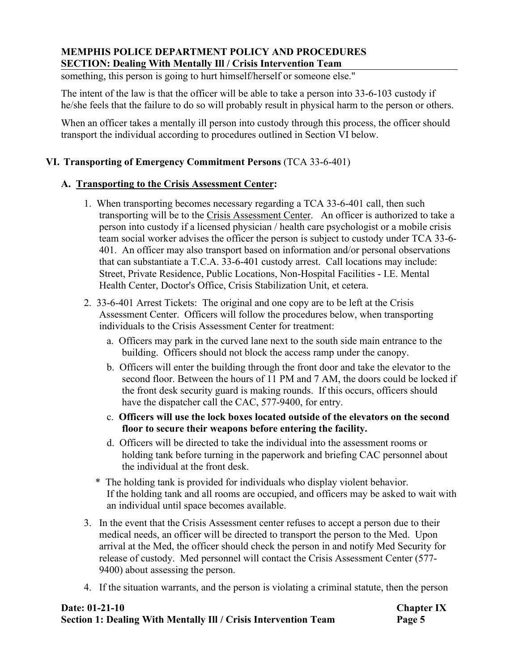something, this person is going to hurt himself/herself or someone else."

The intent of the law is that the officer will be able to take a person into 33-6-103 custody if he/she feels that the failure to do so will probably result in physical harm to the person or others.

When an officer takes a mentally ill person into custody through this process, the officer should transport the individual according to procedures outlined in Section VI below.

#### **VI. Transporting of Emergency Commitment Persons** (TCA 33-6-401)

#### **A. Transporting to the Crisis Assessment Center:**

- 1. When transporting becomes necessary regarding a TCA 33-6-401 call, then such transporting will be to the Crisis Assessment Center. An officer is authorized to take a person into custody if a licensed physician / health care psychologist or a mobile crisis team social worker advises the officer the person is subject to custody under TCA 33-6- 401. An officer may also transport based on information and/or personal observations that can substantiate a T.C.A. 33-6-401 custody arrest. Call locations may include: Street, Private Residence, Public Locations, Non-Hospital Facilities - I.E. Mental Health Center, Doctor's Office, Crisis Stabilization Unit, et cetera.
- 2. 33-6-401 Arrest Tickets: The original and one copy are to be left at the Crisis Assessment Center. Officers will follow the procedures below, when transporting individuals to the Crisis Assessment Center for treatment:
	- a. Officers may park in the curved lane next to the south side main entrance to the building. Officers should not block the access ramp under the canopy.
	- b. Officers will enter the building through the front door and take the elevator to the second floor. Between the hours of 11 PM and 7 AM, the doors could be locked if the front desk security guard is making rounds. If this occurs, officers should have the dispatcher call the CAC, 577-9400, for entry.
	- c. **Officers will use the lock boxes located outside of the elevators on the second floor to secure their weapons before entering the facility.**
	- d. Officers will be directed to take the individual into the assessment rooms or holding tank before turning in the paperwork and briefing CAC personnel about the individual at the front desk.
	- \* The holding tank is provided for individuals who display violent behavior. If the holding tank and all rooms are occupied, and officers may be asked to wait with an individual until space becomes available.
- 3. In the event that the Crisis Assessment center refuses to accept a person due to their medical needs, an officer will be directed to transport the person to the Med. Upon arrival at the Med, the officer should check the person in and notify Med Security for release of custody. Med personnel will contact the Crisis Assessment Center (577- 9400) about assessing the person.
- 4. If the situation warrants, and the person is violating a criminal statute, then the person

#### **Date: 01-21-10 Chapter IX Section 1: Dealing With Mentally Ill / Crisis Intervention Team** Page 5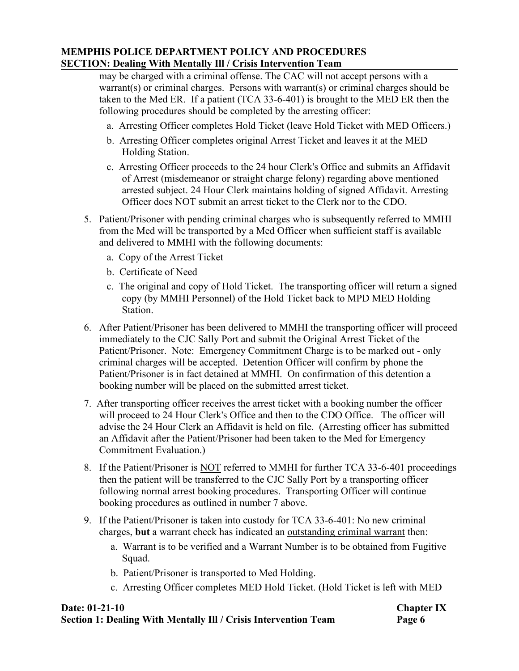may be charged with a criminal offense. The CAC will not accept persons with a warrant(s) or criminal charges. Persons with warrant(s) or criminal charges should be taken to the Med ER. If a patient (TCA 33-6-401) is brought to the MED ER then the following procedures should be completed by the arresting officer:

- a. Arresting Officer completes Hold Ticket (leave Hold Ticket with MED Officers.)
- b. Arresting Officer completes original Arrest Ticket and leaves it at the MED Holding Station.
- c. Arresting Officer proceeds to the 24 hour Clerk's Office and submits an Affidavit of Arrest (misdemeanor or straight charge felony) regarding above mentioned arrested subject. 24 Hour Clerk maintains holding of signed Affidavit. Arresting Officer does NOT submit an arrest ticket to the Clerk nor to the CDO.
- 5. Patient/Prisoner with pending criminal charges who is subsequently referred to MMHI from the Med will be transported by a Med Officer when sufficient staff is available and delivered to MMHI with the following documents:
	- a. Copy of the Arrest Ticket
	- b. Certificate of Need
	- c. The original and copy of Hold Ticket. The transporting officer will return a signed copy (by MMHI Personnel) of the Hold Ticket back to MPD MED Holding Station.
- 6. After Patient/Prisoner has been delivered to MMHI the transporting officer will proceed immediately to the CJC Sally Port and submit the Original Arrest Ticket of the Patient/Prisoner. Note: Emergency Commitment Charge is to be marked out - only criminal charges will be accepted. Detention Officer will confirm by phone the Patient/Prisoner is in fact detained at MMHI. On confirmation of this detention a booking number will be placed on the submitted arrest ticket.
- 7. After transporting officer receives the arrest ticket with a booking number the officer will proceed to 24 Hour Clerk's Office and then to the CDO Office. The officer will advise the 24 Hour Clerk an Affidavit is held on file. (Arresting officer has submitted an Affidavit after the Patient/Prisoner had been taken to the Med for Emergency Commitment Evaluation.)
- 8. If the Patient/Prisoner is NOT referred to MMHI for further TCA 33-6-401 proceedings then the patient will be transferred to the CJC Sally Port by a transporting officer following normal arrest booking procedures. Transporting Officer will continue booking procedures as outlined in number 7 above.
- 9. If the Patient/Prisoner is taken into custody for TCA 33-6-401: No new criminal charges, **but** a warrant check has indicated an outstanding criminal warrant then:
	- a. Warrant is to be verified and a Warrant Number is to be obtained from Fugitive Squad.
	- b. Patient/Prisoner is transported to Med Holding.
	- c. Arresting Officer completes MED Hold Ticket. (Hold Ticket is left with MED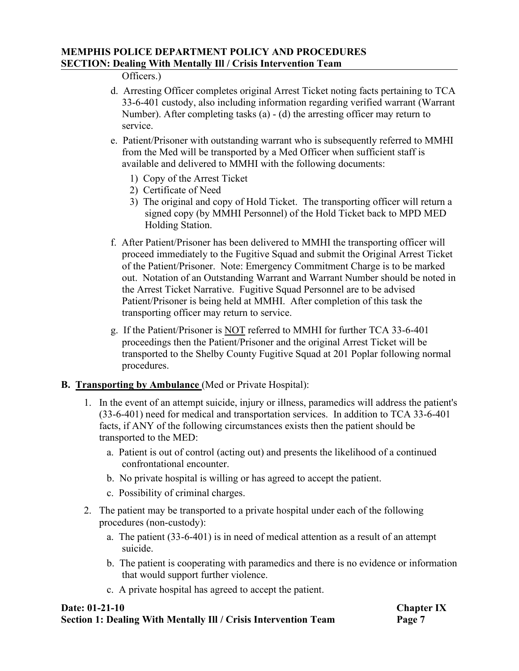#### Officers.)

- d. Arresting Officer completes original Arrest Ticket noting facts pertaining to TCA 33-6-401 custody, also including information regarding verified warrant (Warrant Number). After completing tasks (a) - (d) the arresting officer may return to service.
- e. Patient/Prisoner with outstanding warrant who is subsequently referred to MMHI from the Med will be transported by a Med Officer when sufficient staff is available and delivered to MMHI with the following documents: 1) Copy of the Arrest Ticket
	-
	- 2) Certificate of Need
	- 3) The original and copy of Hold Ticket. The transporting officer will return a signed copy (by MMHI Personnel) of the Hold Ticket back to MPD MED Holding Station.
- f. After Patient/Prisoner has been delivered to MMHI the transporting officer will proceed immediately to the Fugitive Squad and submit the Original Arrest Ticket of the Patient/Prisoner. Note: Emergency Commitment Charge is to be marked out. Notation of an Outstanding Warrant and Warrant Number should be noted in the Arrest Ticket Narrative. Fugitive Squad Personnel are to be advised Patient/Prisoner is being held at MMHI. After completion of this task the transporting officer may return to service.
- g. If the Patient/Prisoner is NOT referred to MMHI for further TCA 33-6-401 proceedings then the Patient/Prisoner and the original Arrest Ticket will be transported to the Shelby County Fugitive Squad at 201 Poplar following normal procedures.

#### **B. Transporting by Ambulance** (Med or Private Hospital):

- 1. In the event of an attempt suicide, injury or illness, paramedics will address the patient's (33-6-401) need for medical and transportation services. In addition to TCA 33-6-401 facts, if ANY of the following circumstances exists then the patient should be transported to the MED:
	- a. Patient is out of control (acting out) and presents the likelihood of a continued confrontational encounter.
	- b. No private hospital is willing or has agreed to accept the patient.
	- c. Possibility of criminal charges.
- 2. The patient may be transported to a private hospital under each of the following procedures (non-custody):<br>a. The patient (33-6-401) is in need of medical attention as a result of an attempt
	- suicide.
	- b. The patient is cooperating with paramedics and there is no evidence or information that would support further violence.
	- c. A private hospital has agreed to accept the patient.

#### **Date: 01-21-10 Chapter IX Section 1: Dealing With Mentally Ill / Crisis Intervention Team Page 7**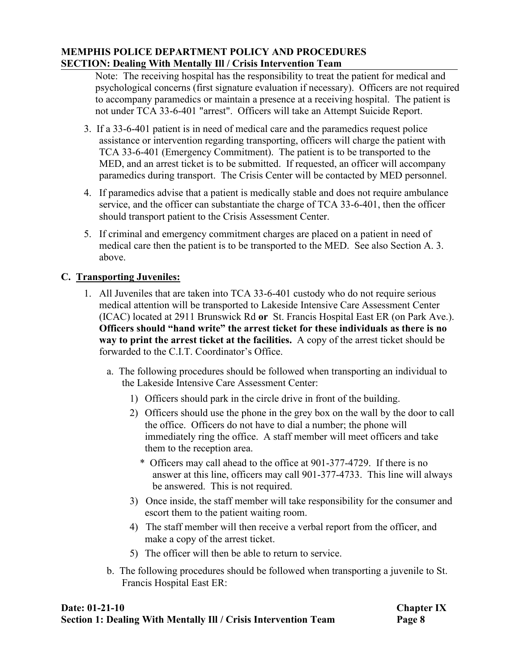Note: The receiving hospital has the responsibility to treat the patient for medical and psychological concerns (first signature evaluation if necessary). Officers are not required to accompany paramedics or maintain a presence at a receiving hospital. The patient is not under TCA 33-6-401 "arrest". Officers will take an Attempt Suicide Report.

- 3. If a 33-6-401 patient is in need of medical care and the paramedics request police assistance or intervention regarding transporting, officers will charge the patient with TCA 33-6-401 (Emergency Commitment). The patient is to be transported to the MED, and an arrest ticket is to be submitted. If requested, an officer will accompany paramedics during transport. The Crisis Center will be contacted by MED personnel.
- 4. If paramedics advise that a patient is medically stable and does not require ambulance service, and the officer can substantiate the charge of TCA 33-6-401, then the officer should transport patient to the Crisis Assessment Center.
- 5. If criminal and emergency commitment charges are placed on a patient in need of medical care then the patient is to be transported to the MED. See also Section A. 3. above.

# **C. Transporting Juveniles:**

- 1. All Juveniles that are taken into TCA 33-6-401 custody who do not require serious medical attention will be transported to Lakeside Intensive Care Assessment Center (ICAC) located at 2911 Brunswick Rd **or** St. Francis Hospital East ER (on Park Ave.). **Officers should "hand write" the arrest ticket for these individuals as there is no way to print the arrest ticket at the facilities.** A copy of the arrest ticket should be forwarded to the C.I.T. Coordinator's Office.
	- a. The following procedures should be followed when transporting an individual to the Lakeside Intensive Care Assessment Center:
		- 1) Officers should park in the circle drive in front of the building.
		- 2) Officers should use the phone in the grey box on the wall by the door to call the office. Officers do not have to dial a number; the phone will immediately ring the office. A staff member will meet officers and take them to the reception area.
			- \* Officers may call ahead to the office at 901-377-4729. If there is no answer at this line, officers may call 901-377-4733. This line will always be answered. This is not required.
		- 3) Once inside, the staff member will take responsibility for the consumer and escort them to the patient waiting room.
		- 4) The staff member will then receive a verbal report from the officer, and make a copy of the arrest ticket.
		- 5) The officer will then be able to return to service.
	- b. The following procedures should be followed when transporting a juvenile to St. Francis Hospital East ER: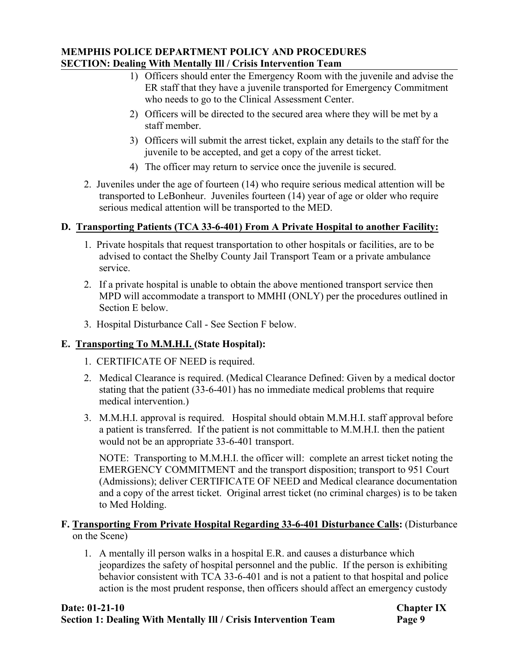- 1) Officers should enter the Emergency Room with the juvenile and advise the ER staff that they have a juvenile transported for Emergency Commitment who needs to go to the Clinical Assessment Center.
- 2) Officers will be directed to the secured area where they will be met by a staff member.
- 3) Officers will submit the arrest ticket, explain any details to the staff for the juvenile to be accepted, and get a copy of the arrest ticket.
- 4) The officer may return to service once the juvenile is secured.
- 2. Juveniles under the age of fourteen (14) who require serious medical attention will be transported to LeBonheur. Juveniles fourteen (14) year of age or older who require serious medical attention will be transported to the MED.

# **D. Transporting Patients (TCA 33-6-401) From A Private Hospital to another Facility:**

- 1. Private hospitals that request transportation to other hospitals or facilities, are to be advised to contact the Shelby County Jail Transport Team or a private ambulance service.
- 2. If a private hospital is unable to obtain the above mentioned transport service then MPD will accommodate a transport to MMHI (ONLY) per the procedures outlined in Section E below.
- 3. Hospital Disturbance Call See Section F below.

# **E. Transporting To M.M.H.I. (State Hospital):**

- 1. CERTIFICATE OF NEED is required.
- 2. Medical Clearance is required. (Medical Clearance Defined: Given by a medical doctor stating that the patient (33-6-401) has no immediate medical problems that require medical intervention.)
- 3. M.M.H.I. approval is required. Hospital should obtain M.M.H.I. staff approval before a patient is transferred. If the patient is not committable to M.M.H.I. then the patient would not be an appropriate 33-6-401 transport.

NOTE: Transporting to M.M.H.I. the officer will: complete an arrest ticket noting the EMERGENCY COMMITMENT and the transport disposition; transport to 951 Court (Admissions); deliver CERTIFICATE OF NEED and Medical clearance documentation and a copy of the arrest ticket. Original arrest ticket (no criminal charges) is to be taken to Med Holding.

# **F. Transporting From Private Hospital Regarding 33-6-401 Disturbance Calls:** (Disturbance on the Scene)

1. A mentally ill person walks in a hospital E.R. and causes a disturbance which jeopardizes the safety of hospital personnel and the public. If the person is exhibiting behavior consistent with TCA 33-6-401 and is not a patient to that hospital and police action is the most prudent response, then officers should affect an emergency custody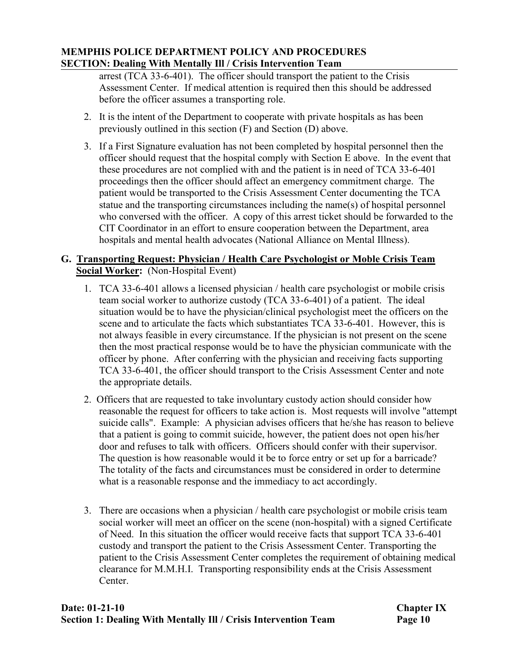arrest (TCA 33-6-401). The officer should transport the patient to the Crisis Assessment Center. If medical attention is required then this should be addressed before the officer assumes a transporting role.

- 2. It is the intent of the Department to cooperate with private hospitals as has been previously outlined in this section (F) and Section (D) above.
- 3. If a First Signature evaluation has not been completed by hospital personnel then the officer should request that the hospital comply with Section E above. In the event that these procedures are not complied with and the patient is in need of TCA 33-6-401 proceedings then the officer should affect an emergency commitment charge. The patient would be transported to the Crisis Assessment Center documenting the TCA statue and the transporting circumstances including the name(s) of hospital personnel who conversed with the officer. A copy of this arrest ticket should be forwarded to the CIT Coordinator in an effort to ensure cooperation between the Department, area hospitals and mental health advocates (National Alliance on Mental Illness).

# **G. Transporting Request: Physician / Health Care Psychologist or Moble Crisis Team Social Worker:** (Non-Hospital Event)

- 1. TCA 33-6-401 allows a licensed physician / health care psychologist or mobile crisis team social worker to authorize custody (TCA 33-6-401) of a patient. The ideal situation would be to have the physician/clinical psychologist meet the officers on the scene and to articulate the facts which substantiates TCA 33-6-401. However, this is not always feasible in every circumstance. If the physician is not present on the scene then the most practical response would be to have the physician communicate with the officer by phone. After conferring with the physician and receiving facts supporting TCA 33-6-401, the officer should transport to the Crisis Assessment Center and note the appropriate details.
- 2. Officers that are requested to take involuntary custody action should consider how reasonable the request for officers to take action is. Most requests will involve "attempt suicide calls". Example: A physician advises officers that he/she has reason to believe that a patient is going to commit suicide, however, the patient does not open his/her door and refuses to talk with officers. Officers should confer with their supervisor. The question is how reasonable would it be to force entry or set up for a barricade? The totality of the facts and circumstances must be considered in order to determine what is a reasonable response and the immediacy to act accordingly.
- 3. There are occasions when a physician / health care psychologist or mobile crisis team social worker will meet an officer on the scene (non-hospital) with a signed Certificate of Need. In this situation the officer would receive facts that support TCA 33-6-401 custody and transport the patient to the Crisis Assessment Center. Transporting the patient to the Crisis Assessment Center completes the requirement of obtaining medical clearance for M.M.H.I. Transporting responsibility ends at the Crisis Assessment Center.